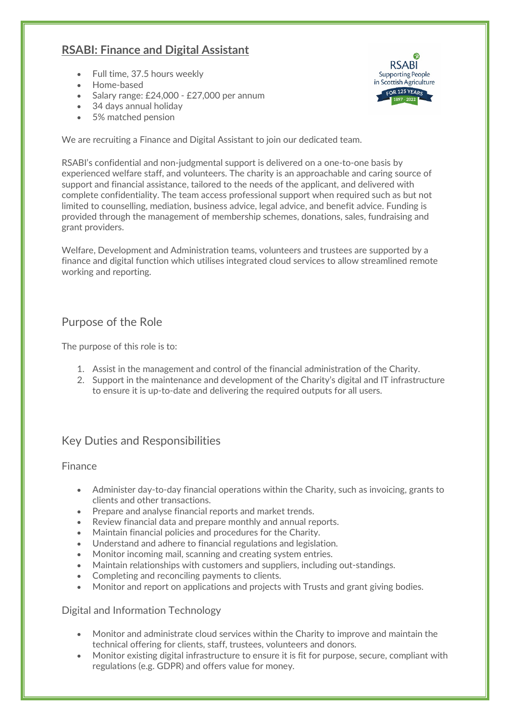# **RSABI: Finance and Digital Assistant**

- Full time, 37.5 hours weekly
- Home-based
- Salary range: £24,000 £27,000 per annum
- 34 days annual holiday
- 5% matched pension



We are recruiting a Finance and Digital Assistant to join our dedicated team.

RSABI's confidential and non-judgmental support is delivered on a one-to-one basis by experienced welfare staff, and volunteers. The charity is an approachable and caring source of support and financial assistance, tailored to the needs of the applicant, and delivered with complete confidentiality. The team access professional support when required such as but not limited to counselling, mediation, business advice, legal advice, and benefit advice. Funding is provided through the management of membership schemes, donations, sales, fundraising and grant providers.

Welfare, Development and Administration teams, volunteers and trustees are supported by a finance and digital function which utilises integrated cloud services to allow streamlined remote working and reporting.

## Purpose of the Role

The purpose of this role is to:

- 1. Assist in the management and control of the financial administration of the Charity.
- 2. Support in the maintenance and development of the Charity's digital and IT infrastructure to ensure it is up-to-date and delivering the required outputs for all users.

# Key Duties and Responsibilities

### Finance

- Administer day-to-day financial operations within the Charity, such as invoicing, grants to clients and other transactions.
- Prepare and analyse financial reports and market trends.
- Review financial data and prepare monthly and annual reports.
- Maintain financial policies and procedures for the Charity.
- Understand and adhere to financial regulations and legislation.
- Monitor incoming mail, scanning and creating system entries.
- Maintain relationships with customers and suppliers, including out-standings.
- Completing and reconciling payments to clients.
- Monitor and report on applications and projects with Trusts and grant giving bodies.

Digital and Information Technology

- Monitor and administrate cloud services within the Charity to improve and maintain the technical offering for clients, staff, trustees, volunteers and donors.
- Monitor existing digital infrastructure to ensure it is fit for purpose, secure, compliant with regulations (e.g. GDPR) and offers value for money.